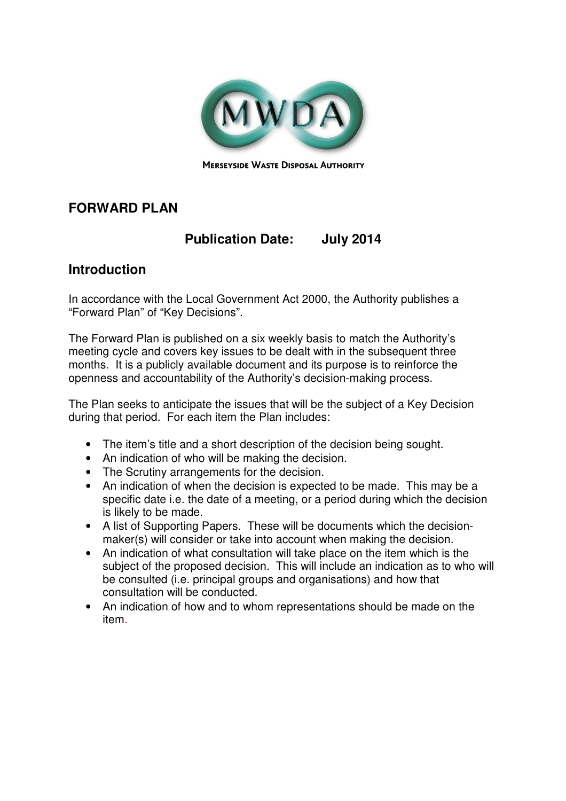

# **FORWARD PLAN**

# **Publication Date: July 2014**

#### **Introduction**

In accordance with the Local Government Act 2000, the Authority publishes a "Forward Plan" of "Key Decisions".

The Forward Plan is published on a six weekly basis to match the Authority's meeting cycle and covers key issues to be dealt with in the subsequent three months. It is a publicly available document and its purpose is to reinforce the openness and accountability of the Authority's decision-making process.

The Plan seeks to anticipate the issues that will be the subject of a Key Decision during that period. For each item the Plan includes:

- The item's title and a short description of the decision being sought.
- An indication of who will be making the decision.
- The Scrutiny arrangements for the decision.
- An indication of when the decision is expected to be made. This may be a specific date i.e. the date of a meeting, or a period during which the decision is likely to be made.
- A list of Supporting Papers. These will be documents which the decisionmaker(s) will consider or take into account when making the decision.
- An indication of what consultation will take place on the item which is the subject of the proposed decision. This will include an indication as to who will be consulted (i.e. principal groups and organisations) and how that consultation will be conducted.
- An indication of how and to whom representations should be made on the item.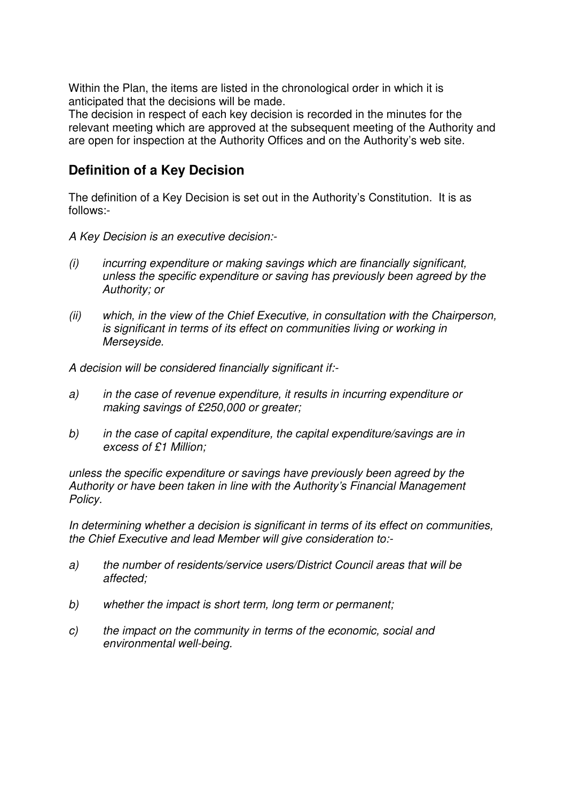Within the Plan, the items are listed in the chronological order in which it is anticipated that the decisions will be made.

The decision in respect of each key decision is recorded in the minutes for the relevant meeting which are approved at the subsequent meeting of the Authority and are open for inspection at the Authority Offices and on the Authority's web site.

## **Definition of a Key Decision**

The definition of a Key Decision is set out in the Authority's Constitution. It is as follows:-

A Key Decision is an executive decision:-

- (i) incurring expenditure or making savings which are financially significant, unless the specific expenditure or saving has previously been agreed by the Authority; or
- (ii) which, in the view of the Chief Executive, in consultation with the Chairperson, is significant in terms of its effect on communities living or working in Merseyside.

A decision will be considered financially significant if:-

- a) in the case of revenue expenditure, it results in incurring expenditure or making savings of £250,000 or greater;
- b) in the case of capital expenditure, the capital expenditure/savings are in excess of £1 Million;

unless the specific expenditure or savings have previously been agreed by the Authority or have been taken in line with the Authority's Financial Management Policy.

In determining whether a decision is significant in terms of its effect on communities, the Chief Executive and lead Member will give consideration to:-

- a) the number of residents/service users/District Council areas that will be affected;
- b) whether the impact is short term, long term or permanent;
- c) the impact on the community in terms of the economic, social and environmental well-being.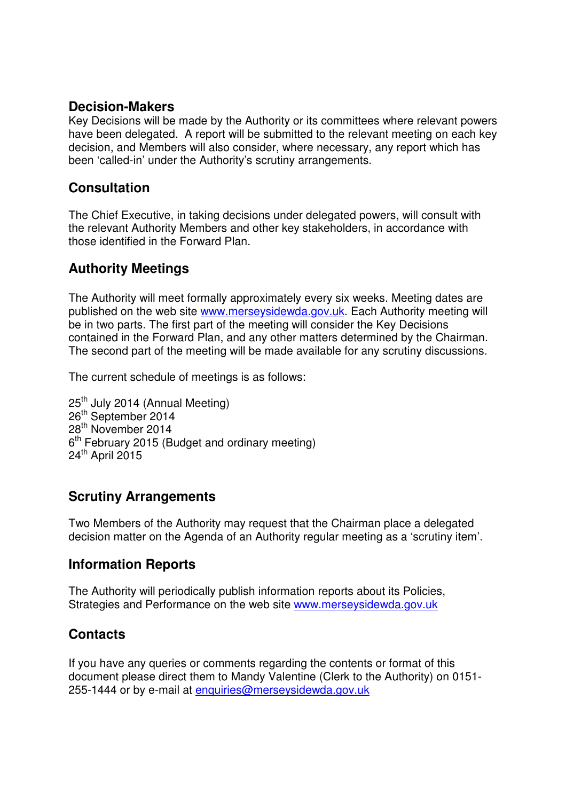#### **Decision-Makers**

Key Decisions will be made by the Authority or its committees where relevant powers have been delegated. A report will be submitted to the relevant meeting on each key decision, and Members will also consider, where necessary, any report which has been 'called-in' under the Authority's scrutiny arrangements.

## **Consultation**

The Chief Executive, in taking decisions under delegated powers, will consult with the relevant Authority Members and other key stakeholders, in accordance with those identified in the Forward Plan.

## **Authority Meetings**

The Authority will meet formally approximately every six weeks. Meeting dates are published on the web site www.merseysidewda.gov.uk. Each Authority meeting will be in two parts. The first part of the meeting will consider the Key Decisions contained in the Forward Plan, and any other matters determined by the Chairman. The second part of the meeting will be made available for any scrutiny discussions.

The current schedule of meetings is as follows:

25<sup>th</sup> July 2014 (Annual Meeting) 26<sup>th</sup> September 2014 28th November 2014 6<sup>th</sup> February 2015 (Budget and ordinary meeting) 24<sup>th</sup> April 2015

## **Scrutiny Arrangements**

Two Members of the Authority may request that the Chairman place a delegated decision matter on the Agenda of an Authority regular meeting as a 'scrutiny item'.

## **Information Reports**

The Authority will periodically publish information reports about its Policies, Strategies and Performance on the web site www.merseysidewda.gov.uk

## **Contacts**

If you have any queries or comments regarding the contents or format of this document please direct them to Mandy Valentine (Clerk to the Authority) on 0151- 255-1444 or by e-mail at enquiries@merseysidewda.gov.uk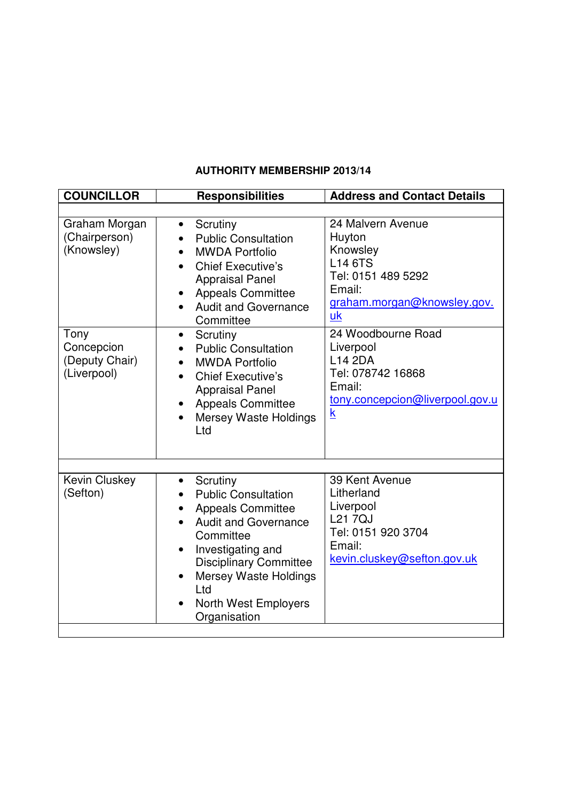#### **AUTHORITY MEMBERSHIP 2013/14**

| <b>COUNCILLOR</b>                                   | <b>Responsibilities</b>                                                                                                                                                                                                                                                                                        | <b>Address and Contact Details</b>                                                                                                              |
|-----------------------------------------------------|----------------------------------------------------------------------------------------------------------------------------------------------------------------------------------------------------------------------------------------------------------------------------------------------------------------|-------------------------------------------------------------------------------------------------------------------------------------------------|
|                                                     |                                                                                                                                                                                                                                                                                                                |                                                                                                                                                 |
| Graham Morgan<br>(Chairperson)<br>(Knowsley)        | Scrutiny<br>$\bullet$<br><b>Public Consultation</b><br><b>MWDA Portfolio</b><br><b>Chief Executive's</b><br><b>Appraisal Panel</b><br><b>Appeals Committee</b><br>$\bullet$<br><b>Audit and Governance</b><br>$\bullet$<br>Committee                                                                           | 24 Malvern Avenue<br>Huyton<br>Knowsley<br><b>L14 6TS</b><br>Tel: 0151 489 5292<br>Email:<br>graham.morgan@knowsley.gov.<br>uk                  |
| Tony<br>Concepcion<br>(Deputy Chair)<br>(Liverpool) | Scrutiny<br>$\bullet$<br><b>Public Consultation</b><br><b>MWDA Portfolio</b><br><b>Chief Executive's</b><br><b>Appraisal Panel</b><br><b>Appeals Committee</b><br>٠<br><b>Mersey Waste Holdings</b><br>$\bullet$<br>Ltd                                                                                        | 24 Woodbourne Road<br>Liverpool<br><b>L14 2DA</b><br>Tel: 078742 16868<br>Email:<br>tony.concepcion@liverpool.gov.u<br>$\underline{\mathsf{k}}$ |
| <b>Kevin Cluskey</b><br>(Sefton)                    | Scrutiny<br>$\bullet$<br><b>Public Consultation</b><br><b>Appeals Committee</b><br><b>Audit and Governance</b><br>Committee<br>Investigating and<br>$\bullet$<br><b>Disciplinary Committee</b><br><b>Mersey Waste Holdings</b><br>$\bullet$<br>Ltd<br><b>North West Employers</b><br>$\bullet$<br>Organisation | 39 Kent Avenue<br>Litherland<br>Liverpool<br><b>L217QJ</b><br>Tel: 0151 920 3704<br>Email:<br>kevin.cluskey@sefton.gov.uk                       |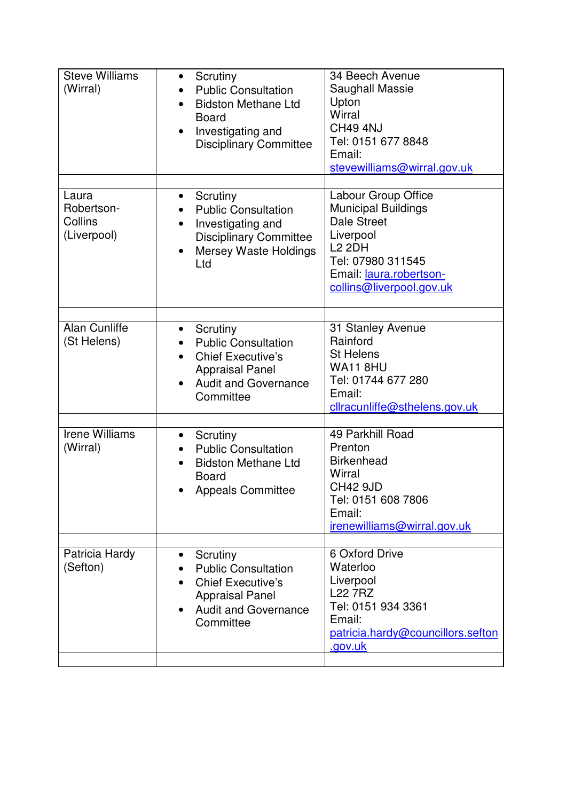| <b>Steve Williams</b><br>(Wirral)             | Scrutiny<br>$\bullet$<br><b>Public Consultation</b><br><b>Bidston Methane Ltd</b><br><b>Board</b><br>Investigating and<br>$\bullet$<br><b>Disciplinary Committee</b> | 34 Beech Avenue<br>Saughall Massie<br>Upton<br>Wirral<br><b>CH49 4NJ</b><br>Tel: 0151 677 8848<br>Email:<br>stevewilliams@wirral.gov.uk                                           |
|-----------------------------------------------|----------------------------------------------------------------------------------------------------------------------------------------------------------------------|-----------------------------------------------------------------------------------------------------------------------------------------------------------------------------------|
| Laura<br>Robertson-<br>Collins<br>(Liverpool) | Scrutiny<br>$\bullet$<br><b>Public Consultation</b><br>Investigating and<br><b>Disciplinary Committee</b><br><b>Mersey Waste Holdings</b><br>$\bullet$<br>Ltd        | Labour Group Office<br><b>Municipal Buildings</b><br><b>Dale Street</b><br>Liverpool<br><b>L2 2DH</b><br>Tel: 07980 311545<br>Email: laura.robertson-<br>collins@liverpool.gov.uk |
| Alan Cunliffe<br>(St Helens)                  | Scrutiny<br>$\bullet$<br><b>Public Consultation</b><br><b>Chief Executive's</b><br><b>Appraisal Panel</b><br><b>Audit and Governance</b><br>$\bullet$<br>Committee   | 31 Stanley Avenue<br>Rainford<br><b>St Helens</b><br><b>WA11 8HU</b><br>Tel: 01744 677 280<br>Email:<br>cllracunliffe@sthelens.gov.uk                                             |
| <b>Irene Williams</b><br>(Wirral)             | Scrutiny<br>$\bullet$<br><b>Public Consultation</b><br><b>Bidston Methane Ltd</b><br><b>Board</b><br><b>Appeals Committee</b>                                        | 49 Parkhill Road<br>Prenton<br><b>Birkenhead</b><br>Wirral<br><b>CH42 9JD</b><br>Tel: 0151 608 7806<br>Email:<br>irenewilliams@wirral.gov.uk                                      |
| Patricia Hardy<br>(Sefton)                    | Scrutiny<br>$\bullet$<br><b>Public Consultation</b><br><b>Chief Executive's</b><br><b>Appraisal Panel</b><br><b>Audit and Governance</b><br>Committee                | 6 Oxford Drive<br>Waterloo<br>Liverpool<br><b>L22 7RZ</b><br>Tel: 0151 934 3361<br>Email:<br>patricia.hardy@councillors.sefton<br>.gov.uk                                         |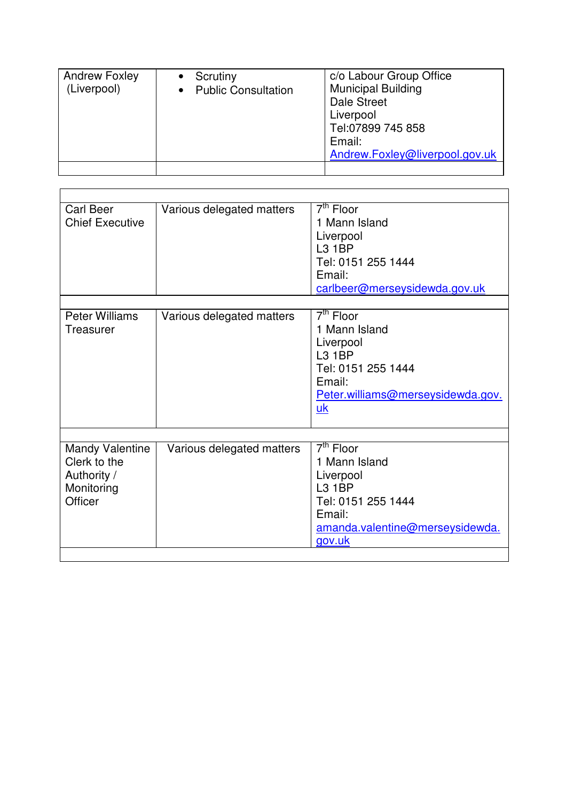| <b>Andrew Foxley</b><br>(Liverpool) | Scrutiny<br><b>Public Consultation</b> | c/o Labour Group Office<br><b>Municipal Building</b><br><b>Dale Street</b><br>Liverpool<br>Tel:07899 745 858<br>Email:<br>Andrew.Foxley@liverpool.gov.uk |
|-------------------------------------|----------------------------------------|----------------------------------------------------------------------------------------------------------------------------------------------------------|
|                                     |                                        |                                                                                                                                                          |

<u> 1989 - Johann Stoff, deutscher Stoffen und der Stoffen und der Stoffen und der Stoffen und der Stoffen und der</u>

| <b>Carl Beer</b><br><b>Chief Executive</b>                                     | Various delegated matters | $7th$ Floor<br>1 Mann Island<br>Liverpool<br>L3 1BP<br>Tel: 0151 255 1444<br>Email:<br>carlbeer@merseysidewda.gov.uk                                         |
|--------------------------------------------------------------------------------|---------------------------|--------------------------------------------------------------------------------------------------------------------------------------------------------------|
| <b>Peter Williams</b><br>Treasurer                                             | Various delegated matters | $\overline{7}$ <sup>th</sup> Floor<br>1 Mann Island<br>Liverpool<br><b>L3 1BP</b><br>Tel: 0151 255 1444<br>Email:<br>Peter.williams@merseysidewda.gov.<br>uk |
| <b>Mandy Valentine</b><br>Clerk to the<br>Authority /<br>Monitoring<br>Officer | Various delegated matters | $7th$ Floor<br>1 Mann Island<br>Liverpool<br><b>L3 1BP</b><br>Tel: 0151 255 1444<br>Email:<br>amanda.valentine@merseysidewda.<br>gov.uk                      |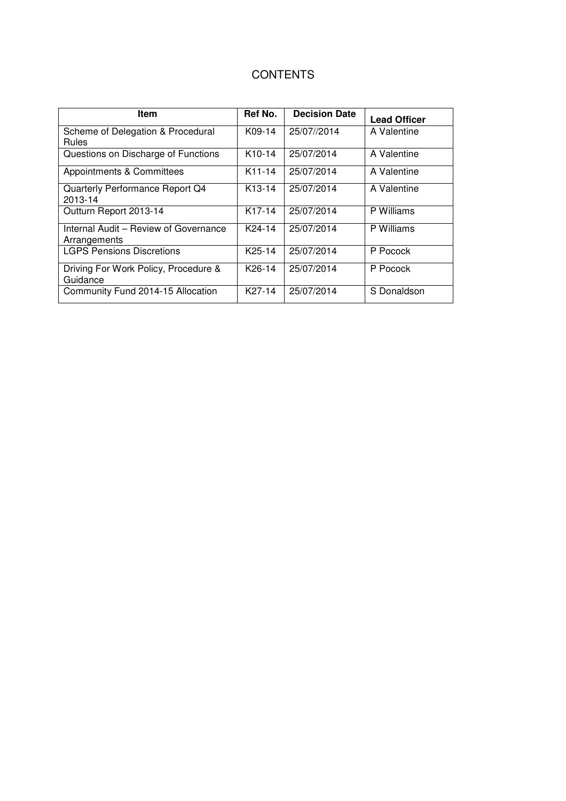| Item                                                  | Ref No.             | <b>Decision Date</b> | <b>Lead Officer</b> |
|-------------------------------------------------------|---------------------|----------------------|---------------------|
| Scheme of Delegation & Procedural<br><b>Rules</b>     | K09-14              | 25/07//2014          | A Valentine         |
| Questions on Discharge of Functions                   | K <sub>10</sub> -14 | 25/07/2014           | A Valentine         |
| Appointments & Committees                             | K11-14              | 25/07/2014           | A Valentine         |
| Quarterly Performance Report Q4<br>2013-14            | K <sub>13</sub> -14 | 25/07/2014           | A Valentine         |
| Outturn Report 2013-14                                | K <sub>17-14</sub>  | 25/07/2014           | P Williams          |
| Internal Audit - Review of Governance<br>Arrangements | K24-14              | 25/07/2014           | P Williams          |
| <b>LGPS Pensions Discretions</b>                      | K <sub>25</sub> -14 | 25/07/2014           | P Pocock            |
| Driving For Work Policy, Procedure &<br>Guidance      | K26-14              | 25/07/2014           | P Pocock            |
| Community Fund 2014-15 Allocation                     | K27-14              | 25/07/2014           | S Donaldson         |

## **CONTENTS**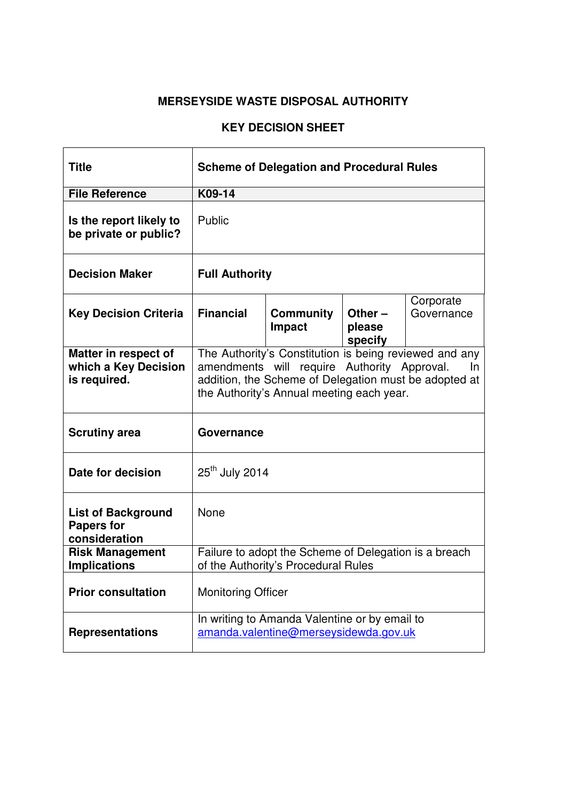| <b>Title</b>                                                    | <b>Scheme of Delegation and Procedural Rules</b>                                                                                                                                                                   |                                                                                        |  |  |
|-----------------------------------------------------------------|--------------------------------------------------------------------------------------------------------------------------------------------------------------------------------------------------------------------|----------------------------------------------------------------------------------------|--|--|
| <b>File Reference</b>                                           | K09-14                                                                                                                                                                                                             |                                                                                        |  |  |
| Is the report likely to<br>be private or public?                | Public                                                                                                                                                                                                             |                                                                                        |  |  |
| <b>Decision Maker</b>                                           | <b>Full Authority</b>                                                                                                                                                                                              |                                                                                        |  |  |
| <b>Key Decision Criteria</b>                                    | Corporate<br><b>Financial</b><br>Governance<br><b>Community</b><br>Other $-$<br>Impact<br>please<br>specify                                                                                                        |                                                                                        |  |  |
| Matter in respect of<br>which a Key Decision<br>is required.    | The Authority's Constitution is being reviewed and any<br>amendments will require Authority Approval.<br>In.<br>addition, the Scheme of Delegation must be adopted at<br>the Authority's Annual meeting each year. |                                                                                        |  |  |
| <b>Scrutiny area</b>                                            | Governance                                                                                                                                                                                                         |                                                                                        |  |  |
| Date for decision                                               | $25th$ July 2014                                                                                                                                                                                                   |                                                                                        |  |  |
| <b>List of Background</b><br><b>Papers for</b><br>consideration | None                                                                                                                                                                                                               |                                                                                        |  |  |
| <b>Risk Management</b><br><b>Implications</b>                   | Failure to adopt the Scheme of Delegation is a breach<br>of the Authority's Procedural Rules                                                                                                                       |                                                                                        |  |  |
| <b>Prior consultation</b>                                       | <b>Monitoring Officer</b>                                                                                                                                                                                          |                                                                                        |  |  |
| <b>Representations</b>                                          |                                                                                                                                                                                                                    | In writing to Amanda Valentine or by email to<br>amanda.valentine@merseysidewda.gov.uk |  |  |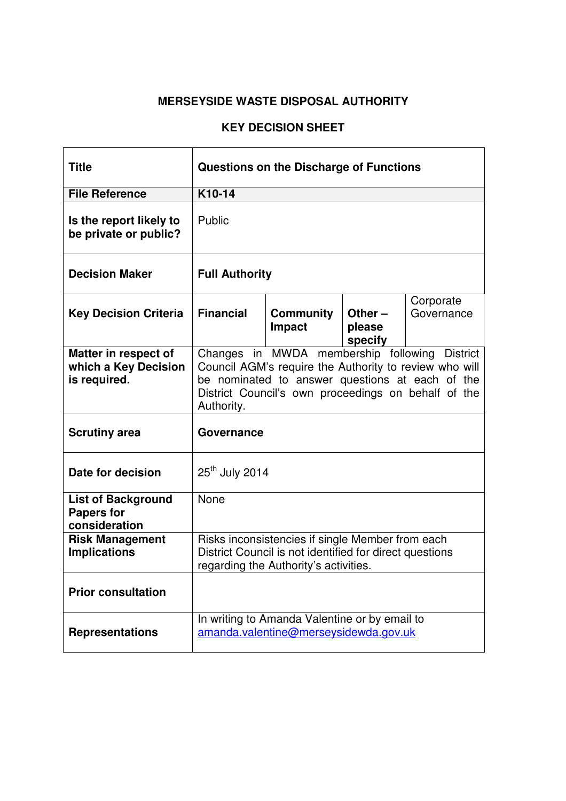| <b>Title</b>                                                    | Questions on the Discharge of Functions                                                                                                                                                                                         |                                                                                        |                                |                         |
|-----------------------------------------------------------------|---------------------------------------------------------------------------------------------------------------------------------------------------------------------------------------------------------------------------------|----------------------------------------------------------------------------------------|--------------------------------|-------------------------|
| <b>File Reference</b>                                           | K10-14                                                                                                                                                                                                                          |                                                                                        |                                |                         |
| Is the report likely to<br>be private or public?                | Public                                                                                                                                                                                                                          |                                                                                        |                                |                         |
| <b>Decision Maker</b>                                           | <b>Full Authority</b>                                                                                                                                                                                                           |                                                                                        |                                |                         |
| <b>Key Decision Criteria</b>                                    | <b>Financial</b>                                                                                                                                                                                                                | <b>Community</b><br>Impact                                                             | Other $-$<br>please<br>specify | Corporate<br>Governance |
| Matter in respect of<br>which a Key Decision<br>is required.    | Changes in MWDA membership following District<br>Council AGM's require the Authority to review who will<br>be nominated to answer questions at each of the<br>District Council's own proceedings on behalf of the<br>Authority. |                                                                                        |                                |                         |
| <b>Scrutiny area</b>                                            | Governance                                                                                                                                                                                                                      |                                                                                        |                                |                         |
| Date for decision                                               | 25 <sup>th</sup> July 2014                                                                                                                                                                                                      |                                                                                        |                                |                         |
| <b>List of Background</b><br><b>Papers for</b><br>consideration | None                                                                                                                                                                                                                            |                                                                                        |                                |                         |
| <b>Risk Management</b><br><b>Implications</b>                   | Risks inconsistencies if single Member from each<br>District Council is not identified for direct questions<br>regarding the Authority's activities.                                                                            |                                                                                        |                                |                         |
| <b>Prior consultation</b>                                       |                                                                                                                                                                                                                                 |                                                                                        |                                |                         |
| <b>Representations</b>                                          |                                                                                                                                                                                                                                 | In writing to Amanda Valentine or by email to<br>amanda.valentine@merseysidewda.gov.uk |                                |                         |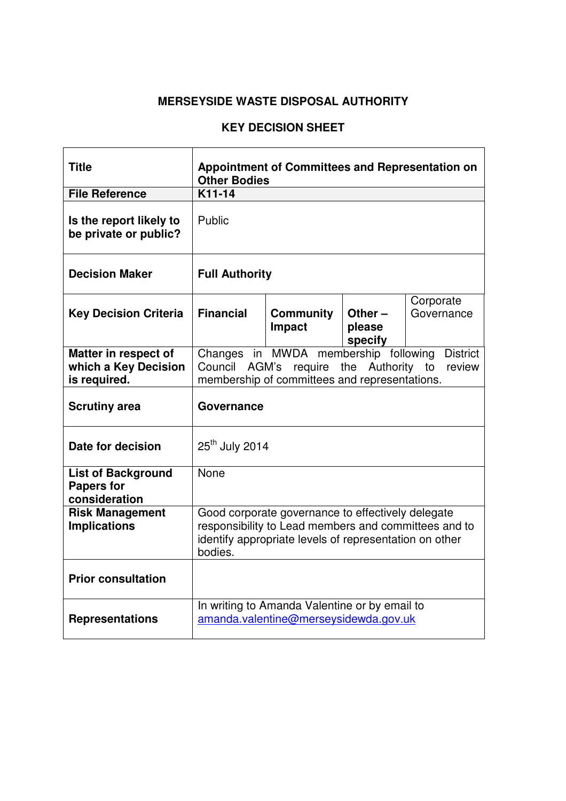| <b>Title</b>                                                    | <b>Appointment of Committees and Representation on</b><br><b>Other Bodies</b>                                                                                                  |                                                                                        |  |  |  |
|-----------------------------------------------------------------|--------------------------------------------------------------------------------------------------------------------------------------------------------------------------------|----------------------------------------------------------------------------------------|--|--|--|
| <b>File Reference</b>                                           | $K11-14$                                                                                                                                                                       |                                                                                        |  |  |  |
| Is the report likely to<br>be private or public?                | Public                                                                                                                                                                         |                                                                                        |  |  |  |
| <b>Decision Maker</b>                                           | <b>Full Authority</b>                                                                                                                                                          |                                                                                        |  |  |  |
| <b>Key Decision Criteria</b>                                    | Corporate<br><b>Financial</b><br>Governance<br><b>Community</b><br>Other $-$<br>Impact<br>please<br>specify                                                                    |                                                                                        |  |  |  |
| Matter in respect of<br>which a Key Decision<br>is required.    | in MWDA membership following<br><b>District</b><br>Changes<br>Council<br>AGM's require the Authority<br>review<br>to<br>membership of committees and representations.          |                                                                                        |  |  |  |
| <b>Scrutiny area</b>                                            | Governance                                                                                                                                                                     |                                                                                        |  |  |  |
| Date for decision                                               | 25 <sup>th</sup> July 2014                                                                                                                                                     |                                                                                        |  |  |  |
| <b>List of Background</b><br><b>Papers for</b><br>consideration | <b>None</b>                                                                                                                                                                    |                                                                                        |  |  |  |
| <b>Risk Management</b><br><b>Implications</b>                   | Good corporate governance to effectively delegate<br>responsibility to Lead members and committees and to<br>identify appropriate levels of representation on other<br>bodies. |                                                                                        |  |  |  |
| <b>Prior consultation</b>                                       |                                                                                                                                                                                |                                                                                        |  |  |  |
| <b>Representations</b>                                          |                                                                                                                                                                                | In writing to Amanda Valentine or by email to<br>amanda.valentine@merseysidewda.gov.uk |  |  |  |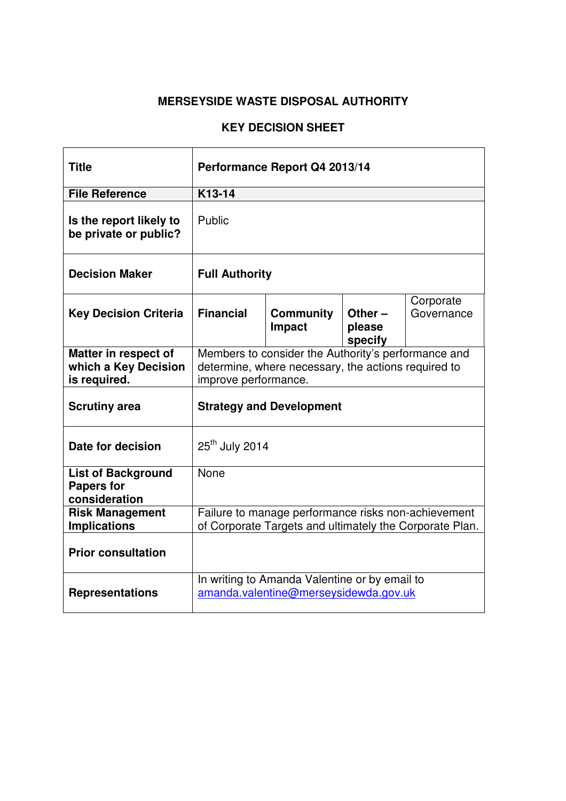| <b>Title</b>                                                    | Performance Report Q4 2013/14                                                                                                      |                                                                                        |                                |                         |  |
|-----------------------------------------------------------------|------------------------------------------------------------------------------------------------------------------------------------|----------------------------------------------------------------------------------------|--------------------------------|-------------------------|--|
| <b>File Reference</b>                                           | K13-14                                                                                                                             |                                                                                        |                                |                         |  |
| Is the report likely to<br>be private or public?                | Public                                                                                                                             |                                                                                        |                                |                         |  |
| <b>Decision Maker</b>                                           | <b>Full Authority</b>                                                                                                              |                                                                                        |                                |                         |  |
| <b>Key Decision Criteria</b>                                    | <b>Financial</b>                                                                                                                   | <b>Community</b><br><b>Impact</b>                                                      | Other $-$<br>please<br>specify | Corporate<br>Governance |  |
| Matter in respect of<br>which a Key Decision<br>is required.    | Members to consider the Authority's performance and<br>determine, where necessary, the actions required to<br>improve performance. |                                                                                        |                                |                         |  |
| <b>Scrutiny area</b>                                            | <b>Strategy and Development</b>                                                                                                    |                                                                                        |                                |                         |  |
| Date for decision                                               | 25 <sup>th</sup> July 2014                                                                                                         |                                                                                        |                                |                         |  |
| <b>List of Background</b><br><b>Papers for</b><br>consideration | None                                                                                                                               |                                                                                        |                                |                         |  |
| <b>Risk Management</b><br><b>Implications</b>                   | Failure to manage performance risks non-achievement<br>of Corporate Targets and ultimately the Corporate Plan.                     |                                                                                        |                                |                         |  |
| <b>Prior consultation</b>                                       |                                                                                                                                    |                                                                                        |                                |                         |  |
| <b>Representations</b>                                          |                                                                                                                                    | In writing to Amanda Valentine or by email to<br>amanda.valentine@merseysidewda.gov.uk |                                |                         |  |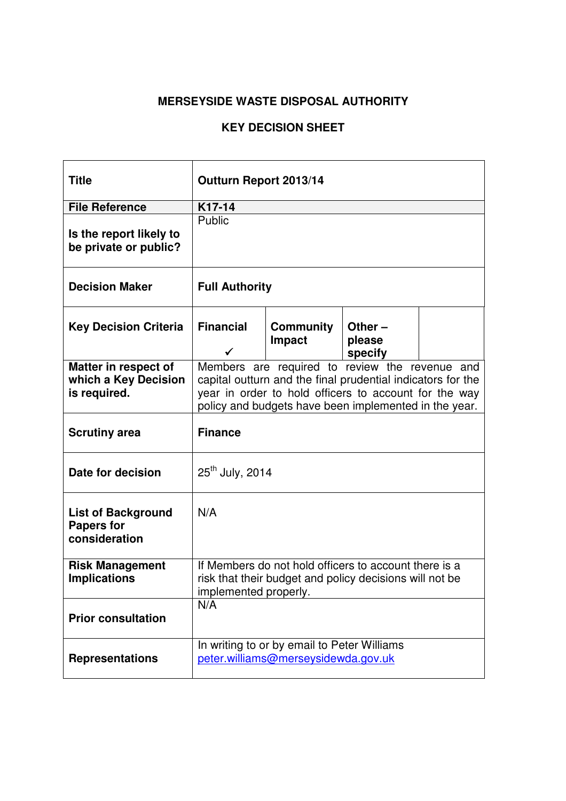| <b>Title</b>                                                    | Outturn Report 2013/14                                                                                                                                                                                                          |                                                                                    |                                |  |
|-----------------------------------------------------------------|---------------------------------------------------------------------------------------------------------------------------------------------------------------------------------------------------------------------------------|------------------------------------------------------------------------------------|--------------------------------|--|
| <b>File Reference</b>                                           | K17-14                                                                                                                                                                                                                          |                                                                                    |                                |  |
| Is the report likely to<br>be private or public?                | Public                                                                                                                                                                                                                          |                                                                                    |                                |  |
| <b>Decision Maker</b>                                           | <b>Full Authority</b>                                                                                                                                                                                                           |                                                                                    |                                |  |
| <b>Key Decision Criteria</b>                                    | <b>Financial</b>                                                                                                                                                                                                                | <b>Community</b><br>Impact                                                         | Other $-$<br>please<br>specify |  |
| Matter in respect of<br>which a Key Decision<br>is required.    | Members are required to review the revenue and<br>capital outturn and the final prudential indicators for the<br>year in order to hold officers to account for the way<br>policy and budgets have been implemented in the year. |                                                                                    |                                |  |
| <b>Scrutiny area</b>                                            | <b>Finance</b>                                                                                                                                                                                                                  |                                                                                    |                                |  |
| Date for decision                                               | 25 <sup>th</sup> July, 2014                                                                                                                                                                                                     |                                                                                    |                                |  |
| <b>List of Background</b><br><b>Papers for</b><br>consideration | N/A                                                                                                                                                                                                                             |                                                                                    |                                |  |
| <b>Risk Management</b><br><b>Implications</b>                   | If Members do not hold officers to account there is a<br>risk that their budget and policy decisions will not be<br>implemented properly.                                                                                       |                                                                                    |                                |  |
| <b>Prior consultation</b>                                       | N/A                                                                                                                                                                                                                             |                                                                                    |                                |  |
| <b>Representations</b>                                          |                                                                                                                                                                                                                                 | In writing to or by email to Peter Williams<br>peter.williams@merseysidewda.gov.uk |                                |  |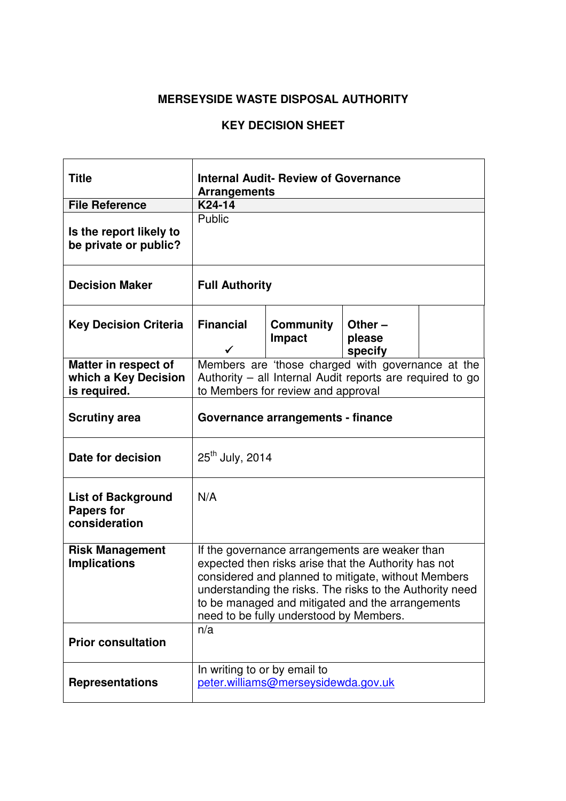| <b>Title</b>                                                    | <b>Internal Audit- Review of Governance</b><br><b>Arrangements</b>                                                                                                                                                                                                                                                       |                                    |                                                                                                                |  |  |
|-----------------------------------------------------------------|--------------------------------------------------------------------------------------------------------------------------------------------------------------------------------------------------------------------------------------------------------------------------------------------------------------------------|------------------------------------|----------------------------------------------------------------------------------------------------------------|--|--|
| <b>File Reference</b>                                           | K24-14                                                                                                                                                                                                                                                                                                                   |                                    |                                                                                                                |  |  |
| Is the report likely to<br>be private or public?                | Public                                                                                                                                                                                                                                                                                                                   |                                    |                                                                                                                |  |  |
| <b>Decision Maker</b>                                           | <b>Full Authority</b>                                                                                                                                                                                                                                                                                                    |                                    |                                                                                                                |  |  |
| <b>Key Decision Criteria</b>                                    | <b>Financial</b><br><b>Community</b><br>Other $-$<br>please<br><b>Impact</b><br>specify                                                                                                                                                                                                                                  |                                    |                                                                                                                |  |  |
| Matter in respect of<br>which a Key Decision<br>is required.    |                                                                                                                                                                                                                                                                                                                          | to Members for review and approval | Members are 'those charged with governance at the<br>Authority – all Internal Audit reports are required to go |  |  |
| <b>Scrutiny area</b>                                            | Governance arrangements - finance                                                                                                                                                                                                                                                                                        |                                    |                                                                                                                |  |  |
| Date for decision                                               | $25^{th}$ July, 2014                                                                                                                                                                                                                                                                                                     |                                    |                                                                                                                |  |  |
| <b>List of Background</b><br><b>Papers for</b><br>consideration | N/A                                                                                                                                                                                                                                                                                                                      |                                    |                                                                                                                |  |  |
| <b>Risk Management</b><br><b>Implications</b>                   | If the governance arrangements are weaker than<br>expected then risks arise that the Authority has not<br>considered and planned to mitigate, without Members<br>understanding the risks. The risks to the Authority need<br>to be managed and mitigated and the arrangements<br>need to be fully understood by Members. |                                    |                                                                                                                |  |  |
| <b>Prior consultation</b>                                       | n/a                                                                                                                                                                                                                                                                                                                      |                                    |                                                                                                                |  |  |
| <b>Representations</b>                                          | In writing to or by email to<br>peter.williams@merseysidewda.gov.uk                                                                                                                                                                                                                                                      |                                    |                                                                                                                |  |  |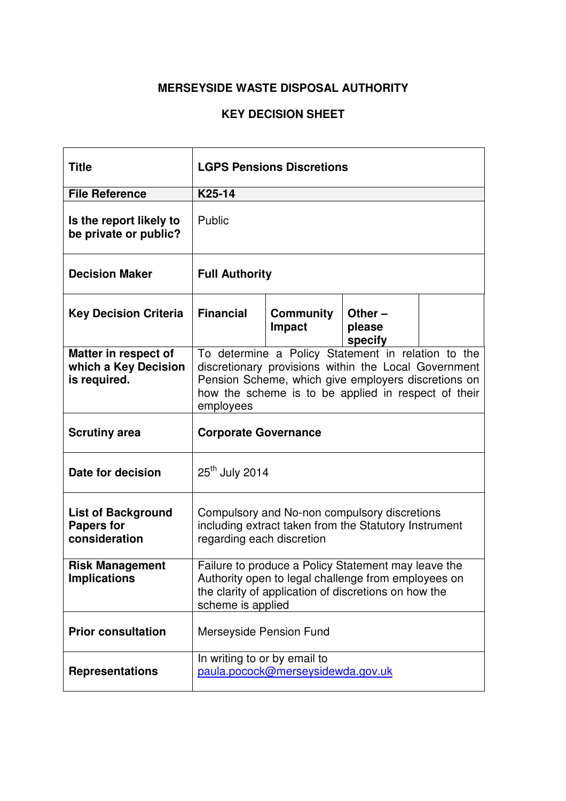| <b>Title</b>                                                    | <b>LGPS Pensions Discretions</b>                                                                                                                                                                                                      |                                   |  |  |
|-----------------------------------------------------------------|---------------------------------------------------------------------------------------------------------------------------------------------------------------------------------------------------------------------------------------|-----------------------------------|--|--|
| <b>File Reference</b>                                           | K25-14                                                                                                                                                                                                                                |                                   |  |  |
| Is the report likely to<br>be private or public?                | Public                                                                                                                                                                                                                                |                                   |  |  |
| <b>Decision Maker</b>                                           | <b>Full Authority</b>                                                                                                                                                                                                                 |                                   |  |  |
| <b>Key Decision Criteria</b>                                    | <b>Financial</b><br><b>Community</b><br>Other $-$<br>Impact<br>please<br>specify                                                                                                                                                      |                                   |  |  |
| Matter in respect of<br>which a Key Decision<br>is required.    | To determine a Policy Statement in relation to the<br>discretionary provisions within the Local Government<br>Pension Scheme, which give employers discretions on<br>how the scheme is to be applied in respect of their<br>employees |                                   |  |  |
| <b>Scrutiny area</b>                                            | <b>Corporate Governance</b>                                                                                                                                                                                                           |                                   |  |  |
| Date for decision                                               | $25th$ July 2014                                                                                                                                                                                                                      |                                   |  |  |
| <b>List of Background</b><br><b>Papers for</b><br>consideration | Compulsory and No-non compulsory discretions<br>including extract taken from the Statutory Instrument<br>regarding each discretion                                                                                                    |                                   |  |  |
| <b>Risk Management</b><br><b>Implications</b>                   | Failure to produce a Policy Statement may leave the<br>Authority open to legal challenge from employees on<br>the clarity of application of discretions on how the<br>scheme is applied                                               |                                   |  |  |
| <b>Prior consultation</b>                                       | Merseyside Pension Fund                                                                                                                                                                                                               |                                   |  |  |
| <b>Representations</b>                                          | In writing to or by email to                                                                                                                                                                                                          | paula.pocock@merseysidewda.gov.uk |  |  |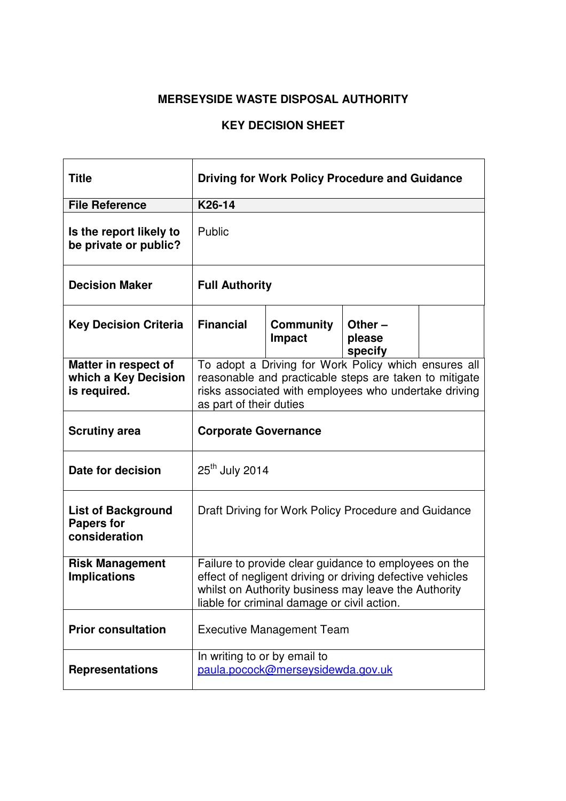| <b>Title</b>                                                    | <b>Driving for Work Policy Procedure and Guidance</b>                                                                                                                                                                     |                            |                                |  |  |  |  |
|-----------------------------------------------------------------|---------------------------------------------------------------------------------------------------------------------------------------------------------------------------------------------------------------------------|----------------------------|--------------------------------|--|--|--|--|
| <b>File Reference</b>                                           | K26-14                                                                                                                                                                                                                    |                            |                                |  |  |  |  |
| Is the report likely to<br>be private or public?                | Public                                                                                                                                                                                                                    |                            |                                |  |  |  |  |
| <b>Decision Maker</b>                                           | <b>Full Authority</b>                                                                                                                                                                                                     |                            |                                |  |  |  |  |
| <b>Key Decision Criteria</b>                                    | <b>Financial</b>                                                                                                                                                                                                          | <b>Community</b><br>Impact | Other $-$<br>please<br>specify |  |  |  |  |
| Matter in respect of<br>which a Key Decision<br>is required.    | To adopt a Driving for Work Policy which ensures all<br>reasonable and practicable steps are taken to mitigate<br>risks associated with employees who undertake driving<br>as part of their duties                        |                            |                                |  |  |  |  |
| <b>Scrutiny area</b>                                            | <b>Corporate Governance</b>                                                                                                                                                                                               |                            |                                |  |  |  |  |
| Date for decision                                               | $25th$ July 2014                                                                                                                                                                                                          |                            |                                |  |  |  |  |
| <b>List of Background</b><br><b>Papers for</b><br>consideration | Draft Driving for Work Policy Procedure and Guidance                                                                                                                                                                      |                            |                                |  |  |  |  |
| <b>Risk Management</b><br><b>Implications</b>                   | Failure to provide clear guidance to employees on the<br>effect of negligent driving or driving defective vehicles<br>whilst on Authority business may leave the Authority<br>liable for criminal damage or civil action. |                            |                                |  |  |  |  |
| <b>Prior consultation</b>                                       | <b>Executive Management Team</b>                                                                                                                                                                                          |                            |                                |  |  |  |  |
| <b>Representations</b>                                          | In writing to or by email to<br>paula.pocock@merseysidewda.gov.uk                                                                                                                                                         |                            |                                |  |  |  |  |